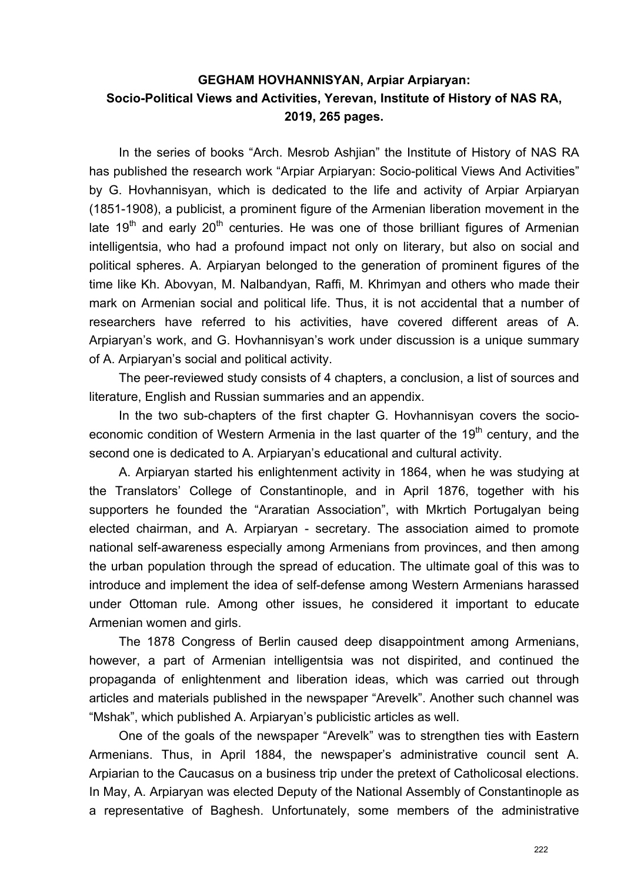## **GEGHAM HOVHANNISYAN, Arpiar Arpiaryan: Socio-Political Views and Activities, Yerevan, Institute of History of NAS RA, 2019, 265 pages.**

In the series of books "Arch. Mesrob Ashjian" the Institute of History of NAS RA has published the research work "Arpiar Arpiaryan: Socio-political Views And Activities" by G. Hovhannisyan, which is dedicated to the life and activity of Arpiar Arpiaryan (1851-1908), a publicist, a prominent figure of the Armenian liberation movement in the late 19<sup>th</sup> and early 20<sup>th</sup> centuries. He was one of those brilliant figures of Armenian intelligentsia, who had a profound impact not only on literary, but also on social and political spheres. A. Arpiaryan belonged to the generation of prominent figures of the time like Kh. Abovyan, M. Nalbandyan, Raffi, M. Khrimyan and others who made their mark on Armenian social and political life. Thus, it is not accidental that a number of researchers have referred to his activities, have covered different areas of A. Arpiaryan's work, and G. Hovhannisyan's work under discussion is a unique summary of A. Arpiaryan's social and political activity.

The peer-reviewed study consists of 4 chapters, a conclusion, a list of sources and literature, English and Russian summaries and an appendix.

In the two sub-chapters of the first chapter G. Hovhannisyan covers the socioeconomic condition of Western Armenia in the last quarter of the 19<sup>th</sup> century, and the second one is dedicated to A. Arpiaryan's educational and cultural activity.

A. Arpiaryan started his enlightenment activity in 1864, when he was studying at the Translators' College of Constantinople, and in April 1876, together with his supporters he founded the "Araratian Association", with Mkrtich Portugalyan being elected chairman, and A. Arpiaryan - secretary. The association aimed to promote national self-awareness especially among Armenians from provinces, and then among the urban population through the spread of education. The ultimate goal of this was to introduce and implement the idea of self-defense among Western Armenians harassed under Ottoman rule. Among other issues, he considered it important to educate Armenian women and girls.

The 1878 Congress of Berlin caused deep disappointment among Armenians, however, a part of Armenian intelligentsia was not dispirited, and continued the propaganda of enlightenment and liberation ideas, which was carried out through articles and materials published in the newspaper "Arevelk". Another such channel was "Mshak", which published A. Arpiaryan's publicistic articles as well.

One of the goals of the newspaper "Arevelk" was to strengthen ties with Eastern Armenians. Thus, in April 1884, the newspaper's administrative council sent A. Arpiarian to the Caucasus on a business trip under the pretext of Catholicosal elections. In May, A. Arpiaryan was elected Deputy of the National Assembly of Constantinople as a representative of Baghesh. Unfortunately, some members of the administrative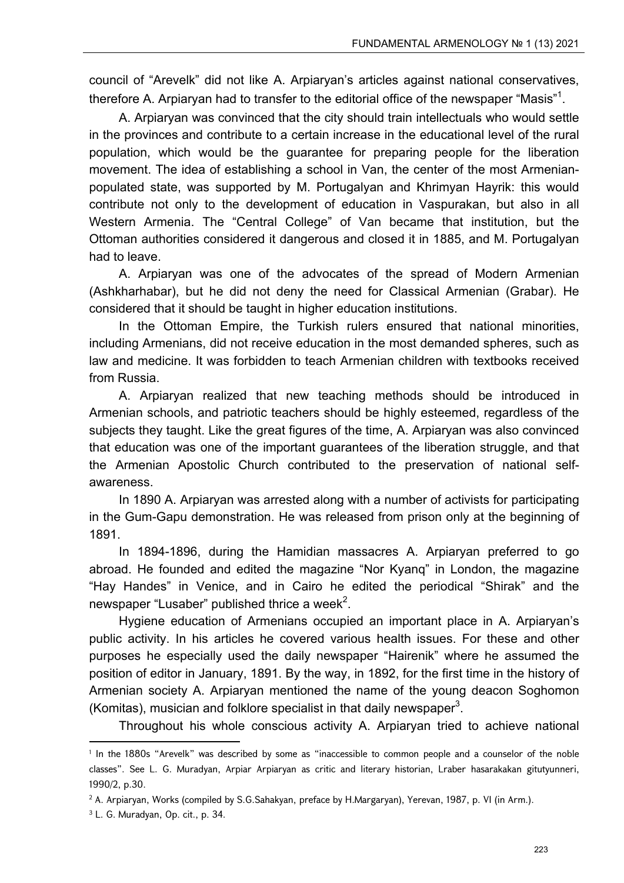council of "Arevelk" did not like A. Arpiaryan's articles against national conservatives, therefore A. Arpiaryan had to transfer to the editorial office of the newspaper "Masis" $^{\rm 1}.$ 

A. Arpiaryan was convinced that the city should train intellectuals who would settle in the provinces and contribute to a certain increase in the educational level of the rural population, which would be the guarantee for preparing people for the liberation movement. The idea of establishing a school in Van, the center of the most Armenianpopulated state, was supported by M. Portugalyan and Khrimyan Hayrik: this would contribute not only to the development of education in Vaspurakan, but also in all Western Armenia. The "Central College" of Van became that institution, but the Ottoman authorities considered it dangerous and closed it in 1885, and M. Portugalyan had to leave.

A. Arpiaryan was one of the advocates of the spread of Modern Armenian (Ashkharhabar), but he did not deny the need for Classical Armenian (Grabar). He considered that it should be taught in higher education institutions.

In the Ottoman Empire, the Turkish rulers ensured that national minorities, including Armenians, did not receive education in the most demanded spheres, such as law and medicine. It was forbidden to teach Armenian children with textbooks received from Russia.

A. Arpiaryan realized that new teaching methods should be introduced in Armenian schools, and patriotic teachers should be highly esteemed, regardless of the subjects they taught. Like the great figures of the time, A. Arpiaryan was also convinced that education was one of the important guarantees of the liberation struggle, and that the Armenian Apostolic Church contributed to the preservation of national selfawareness.

In 1890 A. Arpiaryan was arrested along with a number of activists for participating in the Gum-Gapu demonstration. He was released from prison only at the beginning of 1891.

In 1894-1896, during the Hamidian massacres A. Arpiaryan preferred to go abroad. He founded and edited the magazine "Nor Kyanq" in London, the magazine "Hay Handes" in Venice, and in Cairo he edited the periodical "Shirak" and the newspaper "Lusaber" published thrice a week $^2$ .

Hygiene education of Armenians occupied an important place in A. Arpiaryan's public activity. In his articles he covered various health issues. For these and other purposes he especially used the daily newspaper "Hairenik" where he assumed the position of editor in January, 1891. By the way, in 1892, for the first time in the history of Armenian society A. Arpiaryan mentioned the name of the young deacon Soghomon (Komitas), musician and folklore specialist in that daily newspaper<sup>3</sup>.

Throughout his whole conscious activity A. Arpiaryan tried to achieve national

<sup>1</sup> In the 1880s "Arevelk" was described by some as "inaccessible to common people and a counselor of the noble classes". See L. G. Muradyan, Arpiar Arpiaryan as critic and literary historian, Lraber hasarakakan gitutyunneri, 1990/2, p.30.

<sup>2</sup> A. Arpiaryan, Works (compiled by S.G.Sahakyan, preface by H.Margaryan), Yerevan, 1987, p. VI (in Arm.).

<sup>3</sup> L. G. Muradyan, Op. cit., p. 34.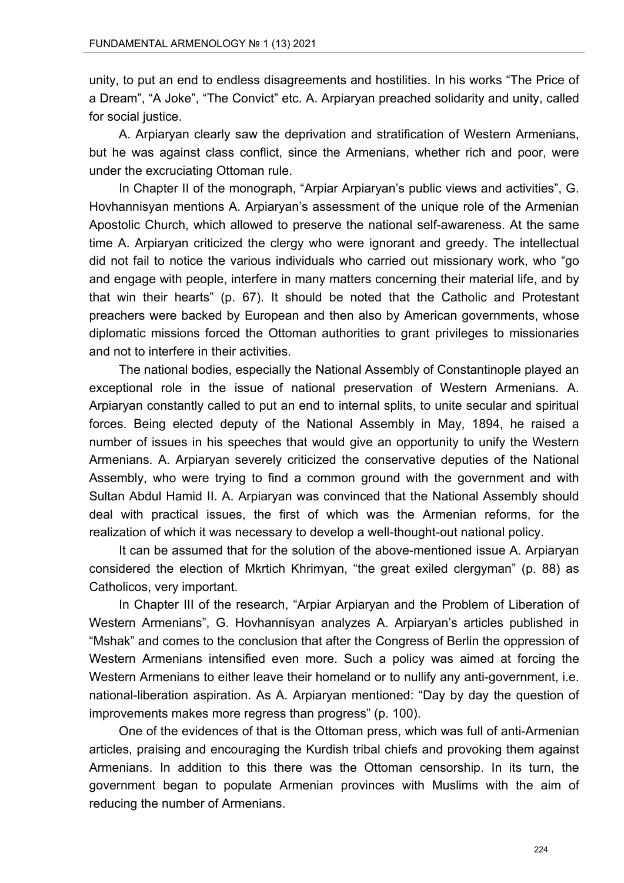unity, to put an end to endless disagreements and hostilities. In his works "The Price of a Dream", "A Joke", "The Convict" etc. A. Arpiaryan preached solidarity and unity, called for social justice.

A. Arpiaryan clearly saw the deprivation and stratification of Western Armenians, but he was against class conflict, since the Armenians, whether rich and poor, were under the excruciating Ottoman rule.

In Chapter II of the monograph, "Arpiar Arpiaryan's public views and activities", G. Hovhannisyan mentions A. Arpiaryan's assessment of the unique role of the Armenian Apostolic Church, which allowed to preserve the national self-awareness. At the same time A. Arpiaryan criticized the clergy who were ignorant and greedy. The intellectual did not fail to notice the various individuals who carried out missionary work, who "go and engage with people, interfere in many matters concerning their material life, and by that win their hearts" (p. 67). It should be noted that the Catholic and Protestant preachers were backed by European and then also by American governments, whose diplomatic missions forced the Ottoman authorities to grant privileges to missionaries and not to interfere in their activities.

The national bodies, especially the National Assembly of Constantinople played an exceptional role in the issue of national preservation of Western Armenians. A. Arpiaryan constantly called to put an end to internal splits, to unite secular and spiritual forces. Being elected deputy of the National Assembly in May, 1894, he raised a number of issues in his speeches that would give an opportunity to unify the Western Armenians. A. Arpiaryan severely criticized the conservative deputies of the National Assembly, who were trying to find a common ground with the government and with Sultan Abdul Hamid II. A. Arpiaryan was convinced that the National Assembly should deal with practical issues, the first of which was the Armenian reforms, for the realization of which it was necessary to develop a well-thought-out national policy.

It can be assumed that for the solution of the above-mentioned issue A. Arpiaryan considered the election of Mkrtich Khrimyan, "the great exiled clergyman" (p. 88) as Catholicos, very important.

In Chapter III of the research, "Arpiar Arpiaryan and the Problem of Liberation of Western Armenians", G. Hovhannisyan analyzes A. Arpiaryan's articles published in "Mshak" and comes to the conclusion that after the Congress of Berlin the oppression of Western Armenians intensified even more. Such a policy was aimed at forcing the Western Armenians to either leave their homeland or to nullify any anti-government, i.e. national-liberation aspiration. As A. Arpiaryan mentioned: "Day by day the question of improvements makes more regress than progress" (p. 100).

One of the evidences of that is the Ottoman press, which was full of anti-Armenian articles, praising and encouraging the Kurdish tribal chiefs and provoking them against Armenians. In addition to this there was the Ottoman censorship. In its turn, the government began to populate Armenian provinces with Muslims with the aim of reducing the number of Armenians.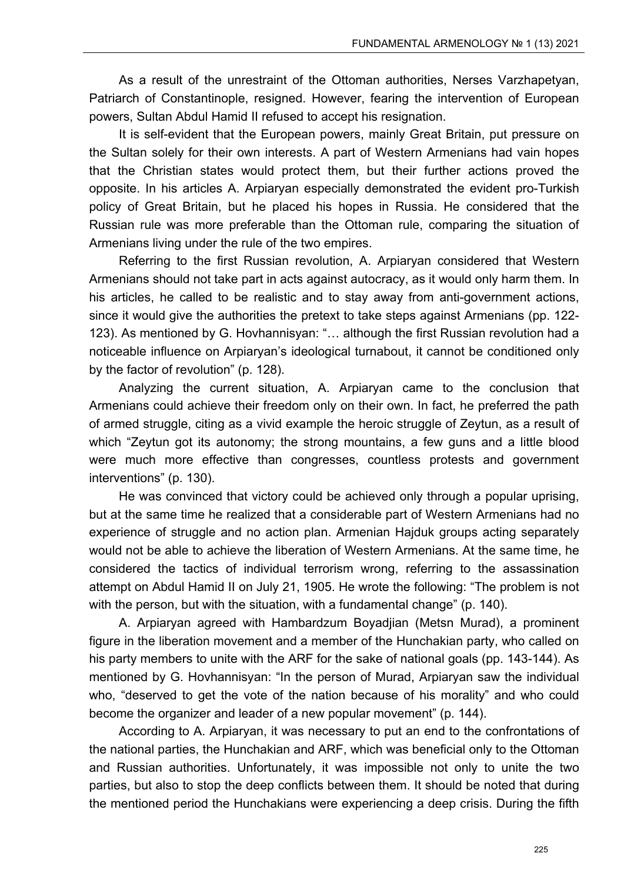As a result of the unrestraint of the Ottoman authorities, Nerses Varzhapetyan, Patriarch of Constantinople, resigned. However, fearing the intervention of European powers, Sultan Abdul Hamid II refused to accept his resignation.

It is self-evident that the European powers, mainly Great Britain, put pressure on the Sultan solely for their own interests. A part of Western Armenians had vain hopes that the Christian states would protect them, but their further actions proved the opposite. In his articles A. Arpiaryan especially demonstrated the evident pro-Turkish policy of Great Britain, but he placed his hopes in Russia. He considered that the Russian rule was more preferable than the Ottoman rule, comparing the situation of Armenians living under the rule of the two empires.

Referring to the first Russian revolution, A. Arpiaryan considered that Western Armenians should not take part in acts against autocracy, as it would only harm them. In his articles, he called to be realistic and to stay away from anti-government actions, since it would give the authorities the pretext to take steps against Armenians (pp. 122- 123). As mentioned by G. Hovhannisyan: "… although the first Russian revolution had a noticeable influence on Arpiaryan's ideological turnabout, it cannot be conditioned only by the factor of revolution" (p. 128).

Analyzing the current situation, A. Arpiaryan came to the conclusion that Armenians could achieve their freedom only on their own. In fact, he preferred the path of armed struggle, citing as a vivid example the heroic struggle of Zeytun, as a result of which "Zeytun got its autonomy; the strong mountains, a few guns and a little blood were much more effective than congresses, countless protests and government interventions" (p. 130).

He was convinced that victory could be achieved only through a popular uprising, but at the same time he realized that a considerable part of Western Armenians had no experience of struggle and no action plan. Armenian Hajduk groups acting separately would not be able to achieve the liberation of Western Armenians. At the same time, he considered the tactics of individual terrorism wrong, referring to the assassination attempt on Abdul Hamid II on July 21, 1905. He wrote the following: "The problem is not with the person, but with the situation, with a fundamental change" (p. 140).

A. Arpiaryan agreed with Hambardzum Boyadjian (Metsn Murad), a prominent figure in the liberation movement and a member of the Hunchakian party, who called on his party members to unite with the ARF for the sake of national goals (pp. 143-144). As mentioned by G. Hovhannisyan: "In the person of Murad, Arpiaryan saw the individual who, "deserved to get the vote of the nation because of his morality" and who could become the organizer and leader of a new popular movement" (p. 144).

According to A. Arpiaryan, it was necessary to put an end to the confrontations of the national parties, the Hunchakian and ARF, which was beneficial only to the Ottoman and Russian authorities. Unfortunately, it was impossible not only to unite the two parties, but also to stop the deep conflicts between them. It should be noted that during the mentioned period the Hunchakians were experiencing a deep crisis. During the fifth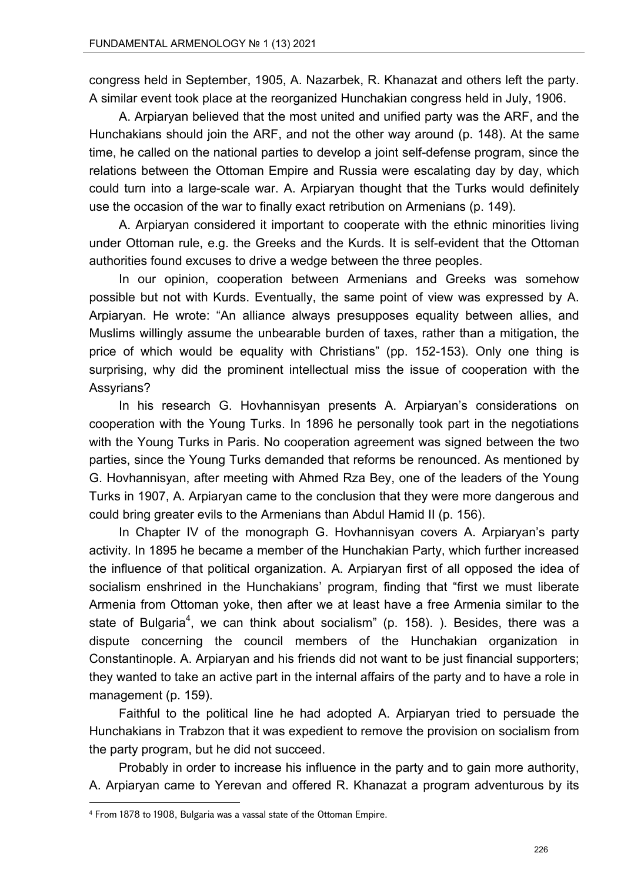congress held in September, 1905, A. Nazarbek, R. Khanazat and others left the party. A similar event took place at the reorganized Hunchakian congress held in July, 1906.

A. Arpiaryan believed that the most united and unified party was the ARF, and the Hunchakians should join the ARF, and not the other way around (p. 148). At the same time, he called on the national parties to develop a joint self-defense program, since the relations between the Ottoman Empire and Russia were escalating day by day, which could turn into a large-scale war. A. Arpiaryan thought that the Turks would definitely use the occasion of the war to finally exact retribution on Armenians (p. 149).

A. Arpiaryan considered it important to cooperate with the ethnic minorities living under Ottoman rule, e.g. the Greeks and the Kurds. It is self-evident that the Ottoman authorities found excuses to drive a wedge between the three peoples.

In our opinion, cooperation between Armenians and Greeks was somehow possible but not with Kurds. Eventually, the same point of view was expressed by A. Arpiaryan. He wrote: "An alliance always presupposes equality between allies, and Muslims willingly assume the unbearable burden of taxes, rather than a mitigation, the price of which would be equality with Christians" (pp. 152-153). Only one thing is surprising, why did the prominent intellectual miss the issue of cooperation with the Assyrians?

In his research G. Hovhannisyan presents A. Arpiaryan's considerations on cooperation with the Young Turks. In 1896 he personally took part in the negotiations with the Young Turks in Paris. No cooperation agreement was signed between the two parties, since the Young Turks demanded that reforms be renounced. As mentioned by G. Hovhannisyan, after meeting with Ahmed Rza Bey, one of the leaders of the Young Turks in 1907, A. Arpiaryan came to the conclusion that they were more dangerous and could bring greater evils to the Armenians than Abdul Hamid II (p. 156).

In Chapter IV of the monograph G. Hovhannisyan covers A. Arpiaryan's party activity. In 1895 he became a member of the Hunchakian Party, which further increased the influence of that political organization. A. Arpiaryan first of all opposed the idea of socialism enshrined in the Hunchakians' program, finding that "first we must liberate Armenia from Ottoman yoke, then after we at least have a free Armenia similar to the state of Bulgaria $^4$ , we can think about socialism" (p. 158). ). Besides, there was a dispute concerning the council members of the Hunchakian organization in Constantinople. A. Arpiaryan and his friends did not want to be just financial supporters; they wanted to take an active part in the internal affairs of the party and to have a role in management (p. 159).

Faithful to the political line he had adopted A. Arpiaryan tried to persuade the Hunchakians in Trabzon that it was expedient to remove the provision on socialism from the party program, but he did not succeed.

Probably in order to increase his influence in the party and to gain more authority, A. Arpiaryan came to Yerevan and offered R. Khanazat a program adventurous by its

<sup>4</sup> From 1878 to 1908, Bulgaria was a vassal state of the Ottoman Empire.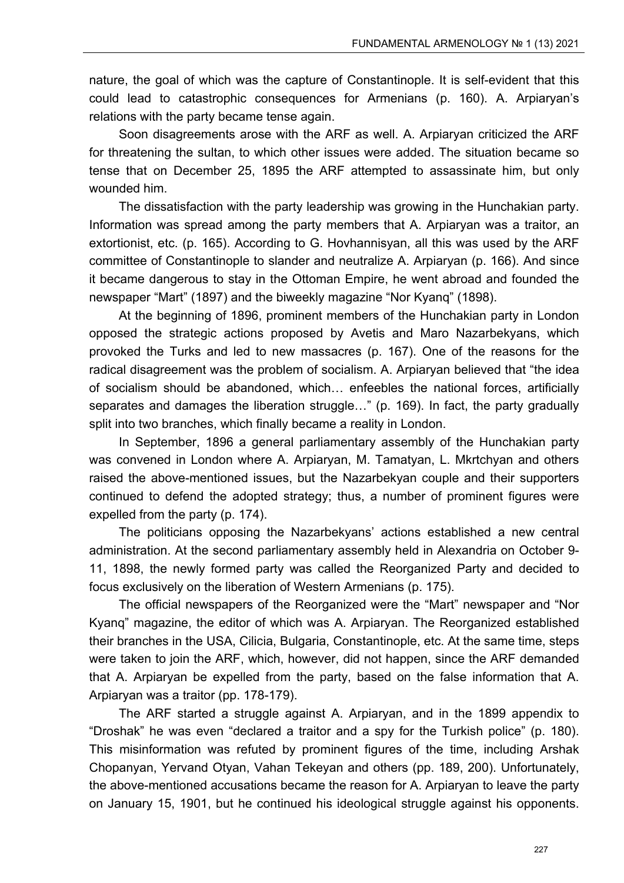nature, the goal of which was the capture of Constantinople. It is self-evident that this could lead to catastrophic consequences for Armenians (p. 160). A. Arpiaryan's relations with the party became tense again.

Soon disagreements arose with the ARF as well. A. Arpiaryan criticized the ARF for threatening the sultan, to which other issues were added. The situation became so tense that on December 25, 1895 the ARF attempted to assassinate him, but only wounded him.

The dissatisfaction with the party leadership was growing in the Hunchakian party. Information was spread among the party members that A. Arpiaryan was a traitor, an extortionist, etc. (p. 165). According to G. Hovhannisyan, all this was used by the ARF committee of Constantinople to slander and neutralize A. Arpiaryan (p. 166). And since it became dangerous to stay in the Ottoman Empire, he went abroad and founded the newspaper "Mart" (1897) and the biweekly magazine "Nor Kyanq" (1898).

At the beginning of 1896, prominent members of the Hunchakian party in London opposed the strategic actions proposed by Avetis and Maro Nazarbekyans, which provoked the Turks and led to new massacres (p. 167). One of the reasons for the radical disagreement was the problem of socialism. A. Arpiaryan believed that "the idea of socialism should be abandoned, which… enfeebles the national forces, artificially separates and damages the liberation struggle…" (p. 169). In fact, the party gradually split into two branches, which finally became a reality in London.

In September, 1896 a general parliamentary assembly of the Hunchakian party was convened in London where A. Arpiaryan, M. Tamatyan, L. Mkrtchyan and others raised the above-mentioned issues, but the Nazarbekyan couple and their supporters continued to defend the adopted strategy; thus, a number of prominent figures were expelled from the party (p. 174).

The politicians opposing the Nazarbekyans' actions established a new central administration. At the second parliamentary assembly held in Alexandria on October 9- 11, 1898, the newly formed party was called the Reorganized Party and decided to focus exclusively on the liberation of Western Armenians (p. 175).

The official newspapers of the Reorganized were the "Mart" newspaper and "Nor Kyanq" magazine, the editor of which was A. Arpiaryan. The Reorganized established their branches in the USA, Cilicia, Bulgaria, Constantinople, etc. At the same time, steps were taken to join the ARF, which, however, did not happen, since the ARF demanded that A. Arpiaryan be expelled from the party, based on the false information that A. Arpiaryan was a traitor (pp. 178-179).

The ARF started a struggle against A. Arpiaryan, and in the 1899 appendix to "Droshak" he was even "declared a traitor and a spy for the Turkish police" (p. 180). This misinformation was refuted by prominent figures of the time, including Arshak Chopanyan, Yervand Otyan, Vahan Tekeyan and others (pp. 189, 200). Unfortunately, the above-mentioned accusations became the reason for A. Arpiaryan to leave the party on January 15, 1901, but he continued his ideological struggle against his opponents.